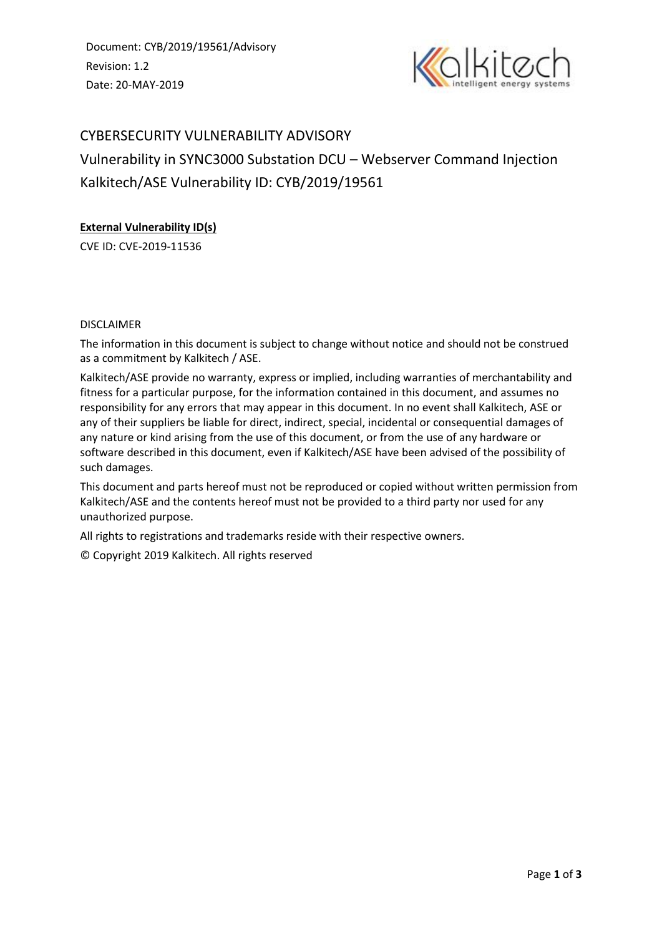Document: CYB/2019/19561/Advisory Revision: 1.2 Date: 20-MAY-2019



# CYBERSECURITY VULNERABILITY ADVISORY Vulnerability in SYNC3000 Substation DCU – Webserver Command Injection Kalkitech/ASE Vulnerability ID: CYB/2019/19561

# **External Vulnerability ID(s)**

CVE ID: CVE-2019-11536

# DISCLAIMER

The information in this document is subject to change without notice and should not be construed as a commitment by Kalkitech / ASE.

Kalkitech/ASE provide no warranty, express or implied, including warranties of merchantability and fitness for a particular purpose, for the information contained in this document, and assumes no responsibility for any errors that may appear in this document. In no event shall Kalkitech, ASE or any of their suppliers be liable for direct, indirect, special, incidental or consequential damages of any nature or kind arising from the use of this document, or from the use of any hardware or software described in this document, even if Kalkitech/ASE have been advised of the possibility of such damages.

This document and parts hereof must not be reproduced or copied without written permission from Kalkitech/ASE and the contents hereof must not be provided to a third party nor used for any unauthorized purpose.

All rights to registrations and trademarks reside with their respective owners.

© Copyright 2019 Kalkitech. All rights reserved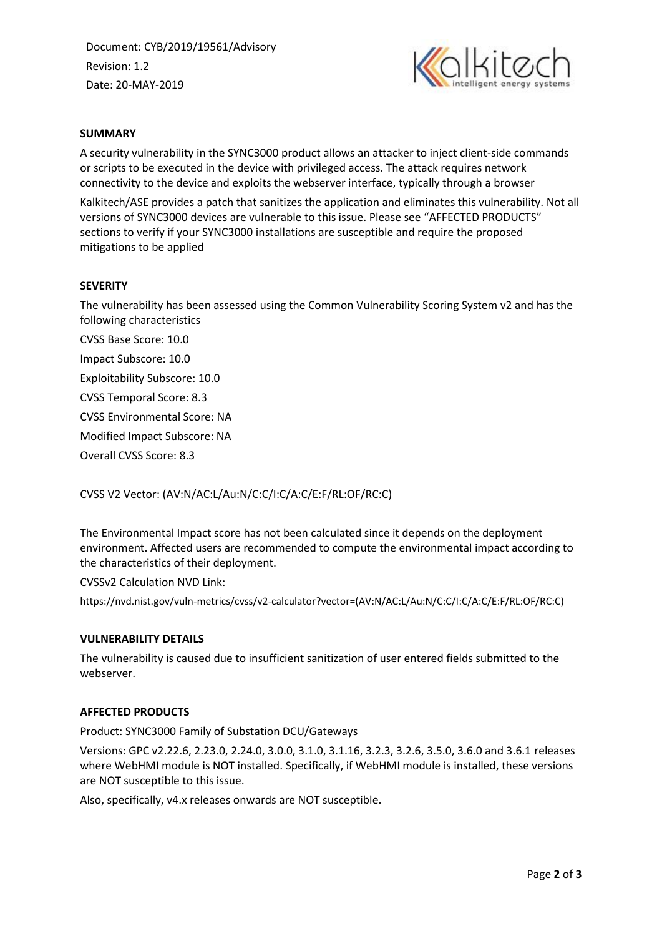Document: CYB/2019/19561/Advisory Revision: 1.2 Date: 20-MAY-2019



# **SUMMARY**

A security vulnerability in the SYNC3000 product allows an attacker to inject client-side commands or scripts to be executed in the device with privileged access. The attack requires network connectivity to the device and exploits the webserver interface, typically through a browser

Kalkitech/ASE provides a patch that sanitizes the application and eliminates this vulnerability. Not all versions of SYNC3000 devices are vulnerable to this issue. Please see "AFFECTED PRODUCTS" sections to verify if your SYNC3000 installations are susceptible and require the proposed mitigations to be applied

## **SEVERITY**

The vulnerability has been assessed using the Common Vulnerability Scoring System v2 and has the following characteristics

CVSS Base Score: 10.0

Impact Subscore: 10.0

Exploitability Subscore: 10.0

CVSS Temporal Score: 8.3

CVSS Environmental Score: NA

Modified Impact Subscore: NA

Overall CVSS Score: 8.3

CVSS V2 Vector: (AV:N/AC:L/Au:N/C:C/I:C/A:C/E:F/RL:OF/RC:C)

The Environmental Impact score has not been calculated since it depends on the deployment environment. Affected users are recommended to compute the environmental impact according to the characteristics of their deployment.

CVSSv2 Calculation NVD Link:

https://nvd.nist.gov/vuln-metrics/cvss/v2-calculator?vector=(AV:N/AC:L/Au:N/C:C/I:C/A:C/E:F/RL:OF/RC:C)

#### **VULNERABILITY DETAILS**

The vulnerability is caused due to insufficient sanitization of user entered fields submitted to the webserver.

## **AFFECTED PRODUCTS**

Product: SYNC3000 Family of Substation DCU/Gateways

Versions: GPC v2.22.6, 2.23.0, 2.24.0, 3.0.0, 3.1.0, 3.1.16, 3.2.3, 3.2.6, 3.5.0, 3.6.0 and 3.6.1 releases where WebHMI module is NOT installed. Specifically, if WebHMI module is installed, these versions are NOT susceptible to this issue.

Also, specifically, v4.x releases onwards are NOT susceptible.